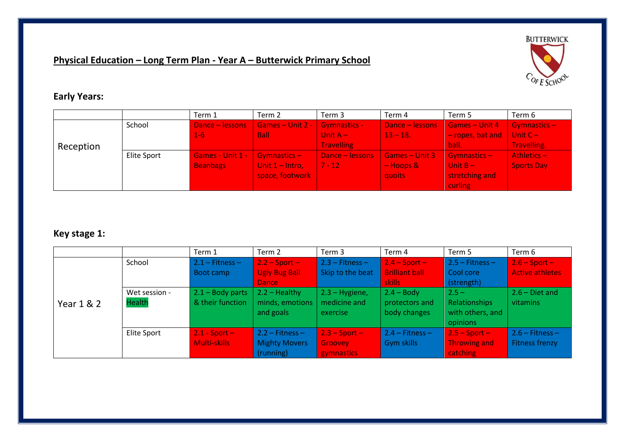# **Physical Education – Long Term Plan - Year A – Butterwick Primary School**



## **Early Years:**

|           |             | Term 1           | Term 2                                | Term 3            | Term 4          | Term 5           | Term 6            |
|-----------|-------------|------------------|---------------------------------------|-------------------|-----------------|------------------|-------------------|
|           | School      | Dance - lessons  | Games – Unit 2 - $\vert$ Gymnastics - |                   | Dance - lessons | Games - Unit 4   | Gymnastics-       |
|           |             | $1 - 6$          | <b>Ball</b>                           | Unit $A -$        | $13 - 18.$      | - ropes, bat and | Unit $C -$        |
| Reception |             |                  |                                       | <b>Travelling</b> |                 | ball.            | Travelling.       |
|           | Elite Sport | Games - Unit 1 - | Gymnastics-/                          | Dance - lessons   | Games - Unit 3  | $Gymnstics -$    | Athletics-        |
|           |             | <b>Beanbags</b>  | Unit $1 -$ Intro,                     | 7 - 12 7          | $-$ Hoops &     | Unit $B -$       | <b>Sports Day</b> |
|           |             |                  | space, footwork                       |                   | quoits          | stretching and   |                   |
|           |             |                  |                                       |                   |                 | curling          |                   |

## **Key stage 1:**

|            |               | Term 1            | Term 2                   | Term 3            | Term 4                | Term 5              | Term 6                 |
|------------|---------------|-------------------|--------------------------|-------------------|-----------------------|---------------------|------------------------|
|            | School        | $2.1 -$ Fitness - | $2.2 - Sport -$          | $2.3 - Fitness -$ | $2.4 - Sport -$       | $2.5 -$ Fitness $-$ | $2.6 - Sport -$        |
|            |               | Boot camp         | <b>Ugly Bug Ball</b>     | Skip to the beat  | <b>Brilliant ball</b> | Cool core           | <b>Active athletes</b> |
|            |               |                   | <b>Dance</b>             |                   | skills                | (strength)          |                        |
|            | Wet session - | 2.1 - Body parts  | $2.2 - Healthy$          | $2.3 - Hygiene,$  | $2.4 - Body$          | $2.5 -$             | $2.6 - Diet$ and       |
| Year 1 & 2 | <b>Health</b> | & their function  | minds, emotions          | medicine and      | protectors and        | Relationships       | vitamins               |
|            |               |                   | and goals                | exercise          | body changes          | with others, and    |                        |
|            |               |                   |                          |                   |                       | opinions            |                        |
|            | Elite Sport   | $2.1 - Sport -$   | $2.2 - \text{Fitness} -$ | $2.3 - Sport -$   | $2.4$ – Fitness – $7$ | $2.5 - Sport -$     | $2.6$ - Fitness -      |
|            |               | Multi-skills      | <b>Mighty Movers</b>     | Groovey           | Gym skills            | <b>Throwing and</b> | <b>Fitness frenzy</b>  |
|            |               |                   | (running)                | gymnastics        |                       | catching            |                        |